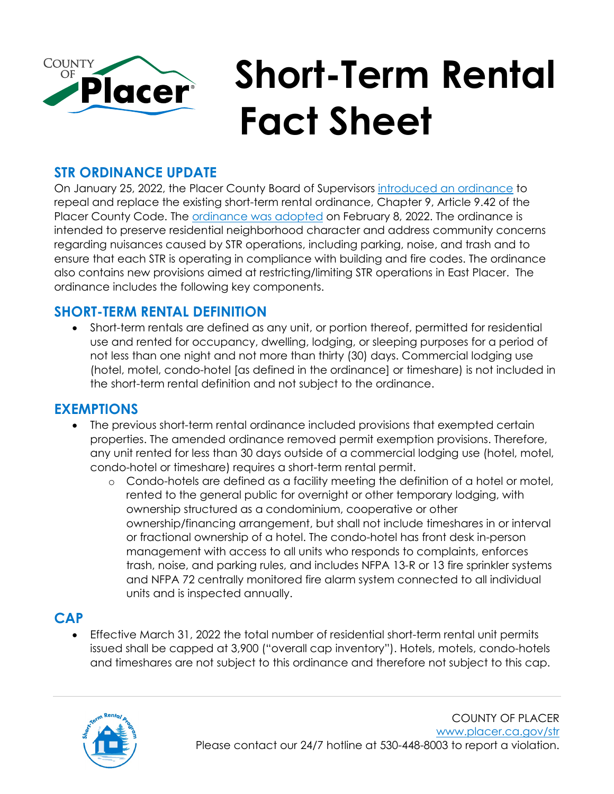

## **STR ORDINANCE UPDATE**

On January 25, 2022, the Placer County Board of Supervisors [introduced an ordinance](https://www.placer.ca.gov/DocumentCenter/View/57828/05A) to repeal and replace the existing short-term rental ordinance, Chapter 9, Article 9.42 of the Placer County Code. The [ordinance was](https://www.placer.ca.gov/DocumentCenter/View/58163/11A) adopted on February 8, 2022. The ordinance is intended to preserve residential neighborhood character and address community concerns regarding nuisances caused by STR operations, including parking, noise, and trash and to ensure that each STR is operating in compliance with building and fire codes. The ordinance also contains new provisions aimed at restricting/limiting STR operations in East Placer. The ordinance includes the following key components.

#### **SHORT-TERM RENTAL DEFINITION**

• Short-term rentals are defined as any unit, or portion thereof, permitted for residential use and rented for occupancy, dwelling, lodging, or sleeping purposes for a period of not less than one night and not more than thirty (30) days. Commercial lodging use (hotel, motel, condo-hotel [as defined in the ordinance] or timeshare) is not included in the short-term rental definition and not subject to the ordinance.

#### **EXEMPTIONS**

- The previous short-term rental ordinance included provisions that exempted certain properties. The amended ordinance removed permit exemption provisions. Therefore, any unit rented for less than 30 days outside of a commercial lodging use (hotel, motel, condo-hotel or timeshare) requires a short-term rental permit.
	- o Condo-hotels are defined as a facility meeting the definition of a hotel or motel, rented to the general public for overnight or other temporary lodging, with ownership structured as a condominium, cooperative or other ownership/financing arrangement, but shall not include timeshares in or interval or fractional ownership of a hotel. The condo-hotel has front desk in-person management with access to all units who responds to complaints, enforces trash, noise, and parking rules, and includes NFPA 13-R or 13 fire sprinkler systems and NFPA 72 centrally monitored fire alarm system connected to all individual units and is inspected annually.

#### **CAP**

• Effective March 31, 2022 the total number of residential short-term rental unit permits issued shall be capped at 3,900 ("overall cap inventory"). Hotels, motels, condo-hotels and timeshares are not subject to this ordinance and therefore not subject to this cap.

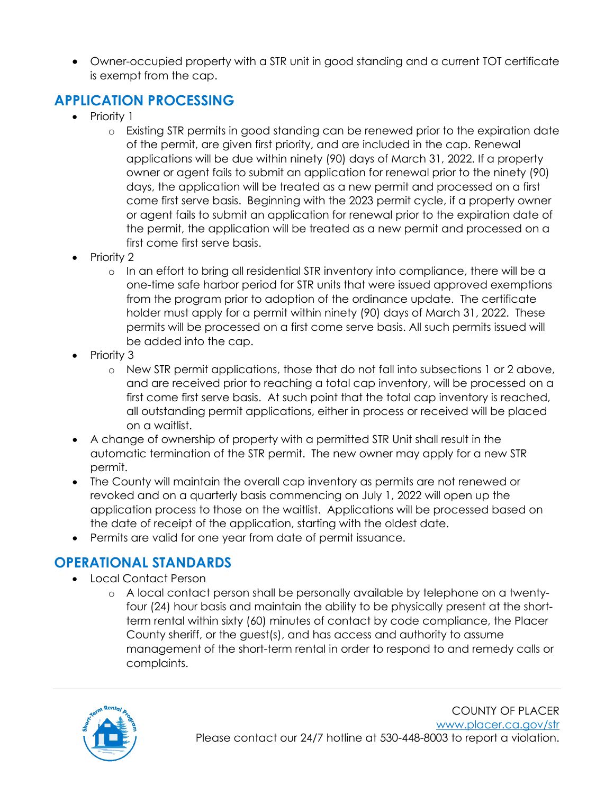• Owner-occupied property with a STR unit in good standing and a current TOT certificate is exempt from the cap.

## **APPLICATION PROCESSING**

- Priority 1
	- o Existing STR permits in good standing can be renewed prior to the expiration date of the permit, are given first priority, and are included in the cap. Renewal applications will be due within ninety (90) days of March 31, 2022. If a property owner or agent fails to submit an application for renewal prior to the ninety (90) days, the application will be treated as a new permit and processed on a first come first serve basis. Beginning with the 2023 permit cycle, if a property owner or agent fails to submit an application for renewal prior to the expiration date of the permit, the application will be treated as a new permit and processed on a first come first serve basis.
- Priority 2
	- o In an effort to bring all residential STR inventory into compliance, there will be a one-time safe harbor period for STR units that were issued approved exemptions from the program prior to adoption of the ordinance update. The certificate holder must apply for a permit within ninety (90) days of March 31, 2022. These permits will be processed on a first come serve basis. All such permits issued will be added into the cap.
- Priority 3
	- o New STR permit applications, those that do not fall into subsections 1 or 2 above, and are received prior to reaching a total cap inventory, will be processed on a first come first serve basis. At such point that the total cap inventory is reached, all outstanding permit applications, either in process or received will be placed on a waitlist.
- A change of ownership of property with a permitted STR Unit shall result in the automatic termination of the STR permit. The new owner may apply for a new STR permit.
- The County will maintain the overall cap inventory as permits are not renewed or revoked and on a quarterly basis commencing on July 1, 2022 will open up the application process to those on the waitlist. Applications will be processed based on the date of receipt of the application, starting with the oldest date.
- Permits are valid for one year from date of permit issuance.

## **OPERATIONAL STANDARDS**

- Local Contact Person
	- o A local contact person shall be personally available by telephone on a twentyfour (24) hour basis and maintain the ability to be physically present at the shortterm rental within sixty (60) minutes of contact by code compliance, the Placer County sheriff, or the guest(s), and has access and authority to assume management of the short-term rental in order to respond to and remedy calls or complaints.

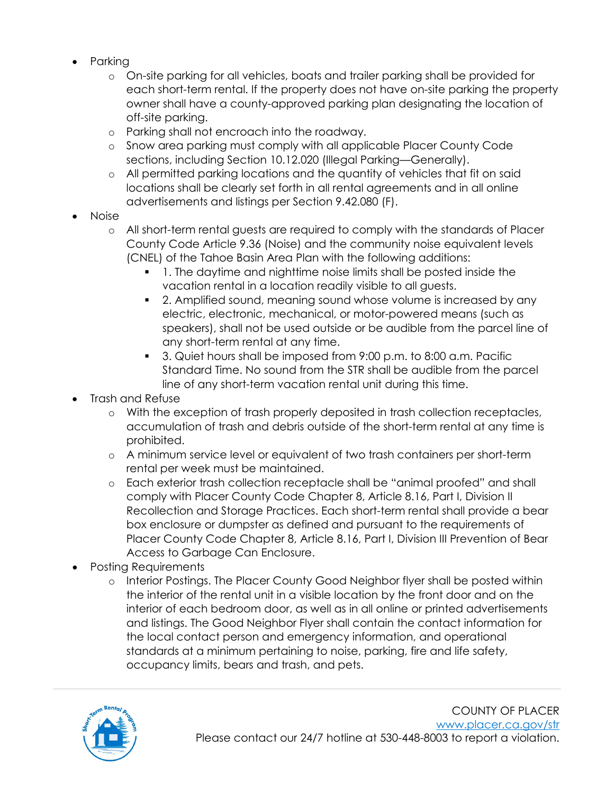- Parking
	- o On-site parking for all vehicles, boats and trailer parking shall be provided for each short-term rental. If the property does not have on-site parking the property owner shall have a county-approved parking plan designating the location of off-site parking.
	- o Parking shall not encroach into the roadway.
	- o Snow area parking must comply with all applicable Placer County Code sections, including Section 10.12.020 (Illegal Parking—Generally).
	- o All permitted parking locations and the quantity of vehicles that fit on said locations shall be clearly set forth in all rental agreements and in all online advertisements and listings per Section 9.42.080 (F).
- Noise
	- o All short-term rental guests are required to comply with the standards of Placer County Code Article 9.36 (Noise) and the community noise equivalent levels (CNEL) of the Tahoe Basin Area Plan with the following additions:
		- 1. The daytime and nighttime noise limits shall be posted inside the vacation rental in a location readily visible to all guests.
		- 2. Amplified sound, meaning sound whose volume is increased by any electric, electronic, mechanical, or motor-powered means (such as speakers), shall not be used outside or be audible from the parcel line of any short-term rental at any time.
		- 3. Quiet hours shall be imposed from 9:00 p.m. to 8:00 a.m. Pacific Standard Time. No sound from the STR shall be audible from the parcel line of any short-term vacation rental unit during this time.
- Trash and Refuse
	- o With the exception of trash properly deposited in trash collection receptacles, accumulation of trash and debris outside of the short-term rental at any time is prohibited.
	- o A minimum service level or equivalent of two trash containers per short-term rental per week must be maintained.
	- o Each exterior trash collection receptacle shall be "animal proofed" and shall comply with Placer County Code Chapter 8, Article 8.16, Part I, Division II Recollection and Storage Practices. Each short-term rental shall provide a bear box enclosure or dumpster as defined and pursuant to the requirements of Placer County Code Chapter 8, Article 8.16, Part I, Division III Prevention of Bear Access to Garbage Can Enclosure.
- Posting Requirements
	- o Interior Postings. The Placer County Good Neighbor flyer shall be posted within the interior of the rental unit in a visible location by the front door and on the interior of each bedroom door, as well as in all online or printed advertisements and listings. The Good Neighbor Flyer shall contain the contact information for the local contact person and emergency information, and operational standards at a minimum pertaining to noise, parking, fire and life safety, occupancy limits, bears and trash, and pets.

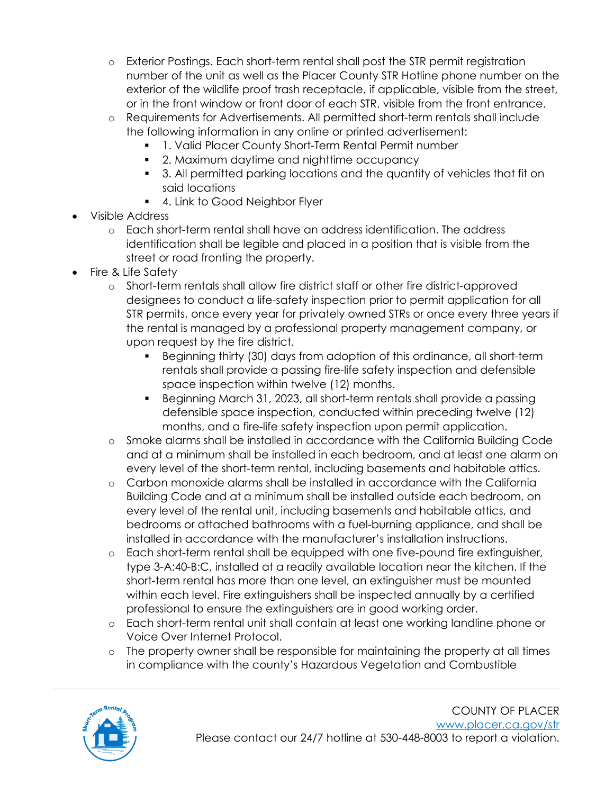- o Exterior Postings. Each short-term rental shall post the STR permit registration number of the unit as well as the Placer County STR Hotline phone number on the exterior of the wildlife proof trash receptacle, if applicable, visible from the street, or in the front window or front door of each STR, visible from the front entrance.
- o Requirements for Advertisements. All permitted short-term rentals shall include the following information in any online or printed advertisement:
	- 1. Valid Placer County Short-Term Rental Permit number
	- 2. Maximum daytime and nighttime occupancy
	- 3. All permitted parking locations and the quantity of vehicles that fit on said locations
		- 4. Link to Good Neighbor Flyer
- Visible Address
	- o Each short-term rental shall have an address identification. The address identification shall be legible and placed in a position that is visible from the street or road fronting the property.
- Fire & Life Safety
	- o Short-term rentals shall allow fire district staff or other fire district-approved designees to conduct a life-safety inspection prior to permit application for all STR permits, once every year for privately owned STRs or once every three years if the rental is managed by a professional property management company, or upon request by the fire district.
		- Beginning thirty (30) days from adoption of this ordinance, all short-term rentals shall provide a passing fire-life safety inspection and defensible space inspection within twelve (12) months.
		- Beginning March 31, 2023, all short-term rentals shall provide a passing defensible space inspection, conducted within preceding twelve (12) months, and a fire-life safety inspection upon permit application.
	- o Smoke alarms shall be installed in accordance with the California Building Code and at a minimum shall be installed in each bedroom, and at least one alarm on every level of the short-term rental, including basements and habitable attics.
	- o Carbon monoxide alarms shall be installed in accordance with the California Building Code and at a minimum shall be installed outside each bedroom, on every level of the rental unit, including basements and habitable attics, and bedrooms or attached bathrooms with a fuel-burning appliance, and shall be installed in accordance with the manufacturer's installation instructions.
	- o Each short-term rental shall be equipped with one five-pound fire extinguisher, type 3-A:40-B:C, installed at a readily available location near the kitchen. If the short-term rental has more than one level, an extinguisher must be mounted within each level. Fire extinguishers shall be inspected annually by a certified professional to ensure the extinguishers are in good working order.
	- o Each short-term rental unit shall contain at least one working landline phone or Voice Over Internet Protocol.
	- o The property owner shall be responsible for maintaining the property at all times in compliance with the county's Hazardous Vegetation and Combustible

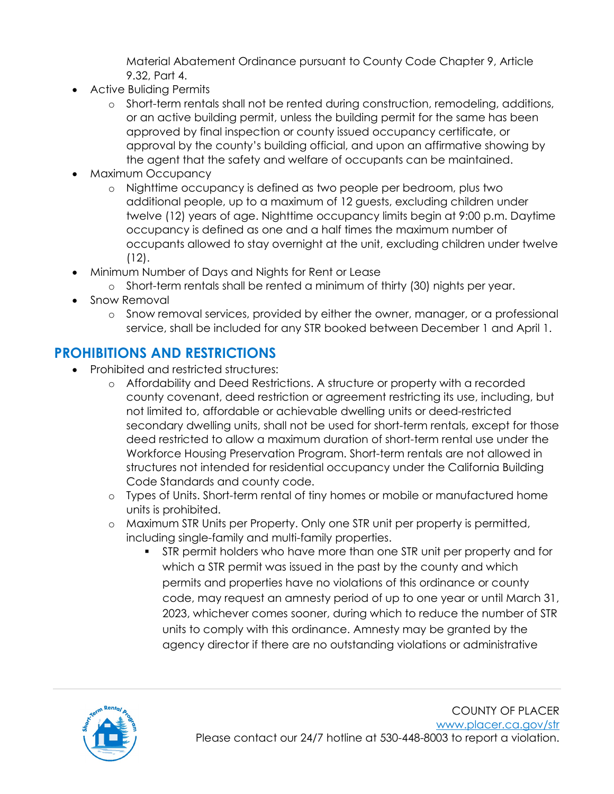Material Abatement Ordinance pursuant to County Code Chapter 9, Article 9.32, Part 4.

- Active Buliding Permits
	- o Short-term rentals shall not be rented during construction, remodeling, additions, or an active building permit, unless the building permit for the same has been approved by final inspection or county issued occupancy certificate, or approval by the county's building official, and upon an affirmative showing by the agent that the safety and welfare of occupants can be maintained.
- Maximum Occupancy
	- o Nighttime occupancy is defined as two people per bedroom, plus two additional people, up to a maximum of 12 guests, excluding children under twelve (12) years of age. Nighttime occupancy limits begin at 9:00 p.m. Daytime occupancy is defined as one and a half times the maximum number of occupants allowed to stay overnight at the unit, excluding children under twelve (12).
- Minimum Number of Days and Nights for Rent or Lease
	- o Short-term rentals shall be rented a minimum of thirty (30) nights per year.
- Snow Removal
	- o Snow removal services, provided by either the owner, manager, or a professional service, shall be included for any STR booked between December 1 and April 1.

# **PROHIBITIONS AND RESTRICTIONS**

- Prohibited and restricted structures:
	- o Affordability and Deed Restrictions. A structure or property with a recorded county covenant, deed restriction or agreement restricting its use, including, but not limited to, affordable or achievable dwelling units or deed-restricted secondary dwelling units, shall not be used for short-term rentals, except for those deed restricted to allow a maximum duration of short-term rental use under the Workforce Housing Preservation Program. Short-term rentals are not allowed in structures not intended for residential occupancy under the California Building Code Standards and county code.
	- o Types of Units. Short-term rental of tiny homes or mobile or manufactured home units is prohibited.
	- o Maximum STR Units per Property. Only one STR unit per property is permitted, including single-family and multi-family properties.
		- STR permit holders who have more than one STR unit per property and for which a STR permit was issued in the past by the county and which permits and properties have no violations of this ordinance or county code, may request an amnesty period of up to one year or until March 31, 2023, whichever comes sooner, during which to reduce the number of STR units to comply with this ordinance. Amnesty may be granted by the agency director if there are no outstanding violations or administrative

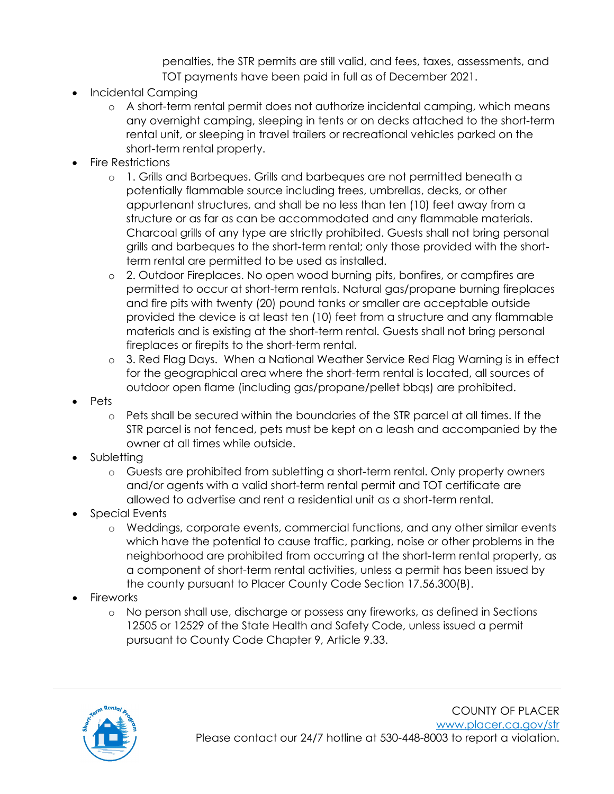penalties, the STR permits are still valid, and fees, taxes, assessments, and TOT payments have been paid in full as of December 2021.

- Incidental Camping
	- o A short-term rental permit does not authorize incidental camping, which means any overnight camping, sleeping in tents or on decks attached to the short-term rental unit, or sleeping in travel trailers or recreational vehicles parked on the short-term rental property.
- Fire Restrictions
	- o 1. Grills and Barbeques. Grills and barbeques are not permitted beneath a potentially flammable source including trees, umbrellas, decks, or other appurtenant structures, and shall be no less than ten (10) feet away from a structure or as far as can be accommodated and any flammable materials. Charcoal grills of any type are strictly prohibited. Guests shall not bring personal grills and barbeques to the short-term rental; only those provided with the shortterm rental are permitted to be used as installed.
	- o 2. Outdoor Fireplaces. No open wood burning pits, bonfires, or campfires are permitted to occur at short-term rentals. Natural gas/propane burning fireplaces and fire pits with twenty (20) pound tanks or smaller are acceptable outside provided the device is at least ten (10) feet from a structure and any flammable materials and is existing at the short-term rental. Guests shall not bring personal fireplaces or firepits to the short-term rental.
	- o 3. Red Flag Days. When a National Weather Service Red Flag Warning is in effect for the geographical area where the short-term rental is located, all sources of outdoor open flame (including gas/propane/pellet bbqs) are prohibited.
- Pets
	- o Pets shall be secured within the boundaries of the STR parcel at all times. If the STR parcel is not fenced, pets must be kept on a leash and accompanied by the owner at all times while outside.
- Subletting
	- o Guests are prohibited from subletting a short-term rental. Only property owners and/or agents with a valid short-term rental permit and TOT certificate are allowed to advertise and rent a residential unit as a short-term rental.
- Special Events
	- o Weddings, corporate events, commercial functions, and any other similar events which have the potential to cause traffic, parking, noise or other problems in the neighborhood are prohibited from occurring at the short-term rental property, as a component of short-term rental activities, unless a permit has been issued by the county pursuant to Placer County Code Section 17.56.300(B).
- **Fireworks** 
	- o No person shall use, discharge or possess any fireworks, as defined in Sections 12505 or 12529 of the State Health and Safety Code, unless issued a permit pursuant to County Code Chapter 9, Article 9.33.

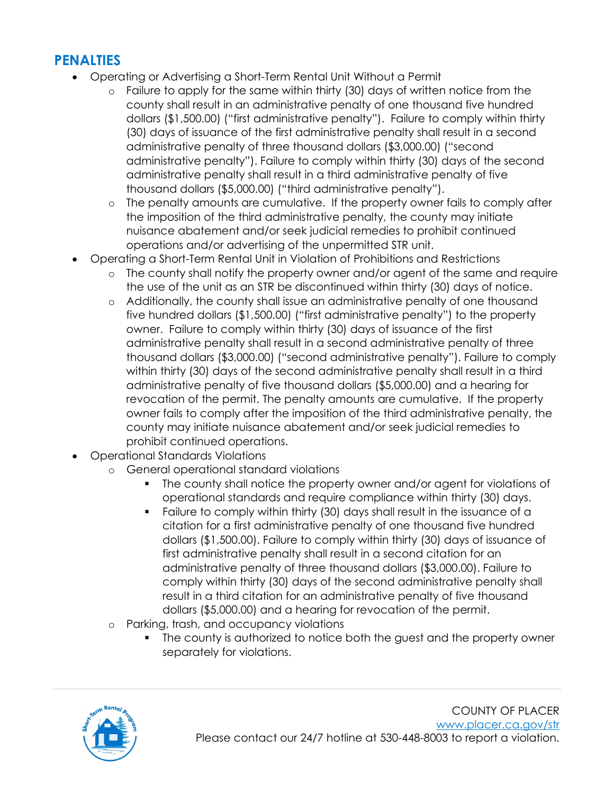## **PENALTIES**

- Operating or Advertising a Short-Term Rental Unit Without a Permit
	- $\circ$  Failure to apply for the same within thirty (30) days of written notice from the county shall result in an administrative penalty of one thousand five hundred dollars (\$1,500.00) ("first administrative penalty"). Failure to comply within thirty (30) days of issuance of the first administrative penalty shall result in a second administrative penalty of three thousand dollars (\$3,000.00) ("second administrative penalty"). Failure to comply within thirty (30) days of the second administrative penalty shall result in a third administrative penalty of five thousand dollars (\$5,000.00) ("third administrative penalty").
	- o The penalty amounts are cumulative. If the property owner fails to comply after the imposition of the third administrative penalty, the county may initiate nuisance abatement and/or seek judicial remedies to prohibit continued operations and/or advertising of the unpermitted STR unit.
- Operating a Short-Term Rental Unit in Violation of Prohibitions and Restrictions
	- o The county shall notify the property owner and/or agent of the same and require the use of the unit as an STR be discontinued within thirty (30) days of notice.
	- o Additionally, the county shall issue an administrative penalty of one thousand five hundred dollars (\$1,500.00) ("first administrative penalty") to the property owner. Failure to comply within thirty (30) days of issuance of the first administrative penalty shall result in a second administrative penalty of three thousand dollars (\$3,000.00) ("second administrative penalty"). Failure to comply within thirty (30) days of the second administrative penalty shall result in a third administrative penalty of five thousand dollars (\$5,000.00) and a hearing for revocation of the permit. The penalty amounts are cumulative. If the property owner fails to comply after the imposition of the third administrative penalty, the county may initiate nuisance abatement and/or seek judicial remedies to prohibit continued operations.
- Operational Standards Violations
	- o General operational standard violations
		- The county shall notice the property owner and/or agent for violations of operational standards and require compliance within thirty (30) days.
		- Failure to comply within thirty (30) days shall result in the issuance of a citation for a first administrative penalty of one thousand five hundred dollars (\$1,500.00). Failure to comply within thirty (30) days of issuance of first administrative penalty shall result in a second citation for an administrative penalty of three thousand dollars (\$3,000.00). Failure to comply within thirty (30) days of the second administrative penalty shall result in a third citation for an administrative penalty of five thousand dollars (\$5,000.00) and a hearing for revocation of the permit.
	- o Parking, trash, and occupancy violations
		- The county is authorized to notice both the guest and the property owner separately for violations.

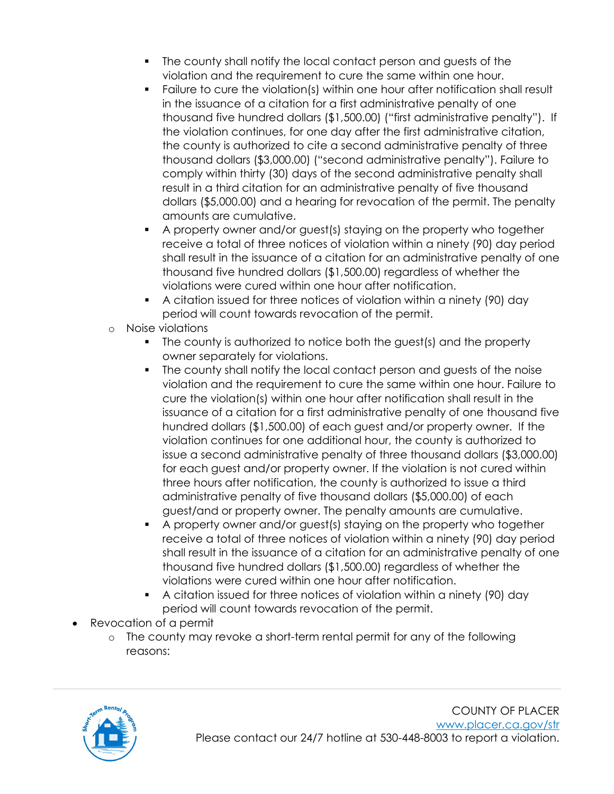- The county shall notify the local contact person and guests of the violation and the requirement to cure the same within one hour.
- Failure to cure the violation(s) within one hour after notification shall result in the issuance of a citation for a first administrative penalty of one thousand five hundred dollars (\$1,500.00) ("first administrative penalty"). If the violation continues, for one day after the first administrative citation, the county is authorized to cite a second administrative penalty of three thousand dollars (\$3,000.00) ("second administrative penalty"). Failure to comply within thirty (30) days of the second administrative penalty shall result in a third citation for an administrative penalty of five thousand dollars (\$5,000.00) and a hearing for revocation of the permit. The penalty amounts are cumulative.
- A property owner and/or guest(s) staying on the property who together receive a total of three notices of violation within a ninety (90) day period shall result in the issuance of a citation for an administrative penalty of one thousand five hundred dollars (\$1,500.00) regardless of whether the violations were cured within one hour after notification.
- A citation issued for three notices of violation within a ninety (90) day period will count towards revocation of the permit.
- o Noise violations
	- The county is authorized to notice both the guest(s) and the property owner separately for violations.
	- The county shall notify the local contact person and guests of the noise violation and the requirement to cure the same within one hour. Failure to cure the violation(s) within one hour after notification shall result in the issuance of a citation for a first administrative penalty of one thousand five hundred dollars (\$1,500.00) of each guest and/or property owner. If the violation continues for one additional hour, the county is authorized to issue a second administrative penalty of three thousand dollars (\$3,000.00) for each guest and/or property owner. If the violation is not cured within three hours after notification, the county is authorized to issue a third administrative penalty of five thousand dollars (\$5,000.00) of each guest/and or property owner. The penalty amounts are cumulative.
	- A property owner and/or guest(s) staying on the property who together receive a total of three notices of violation within a ninety (90) day period shall result in the issuance of a citation for an administrative penalty of one thousand five hundred dollars (\$1,500.00) regardless of whether the violations were cured within one hour after notification.
	- A citation issued for three notices of violation within a ninety (90) day period will count towards revocation of the permit.
- Revocation of a permit
	- o The county may revoke a short-term rental permit for any of the following reasons: